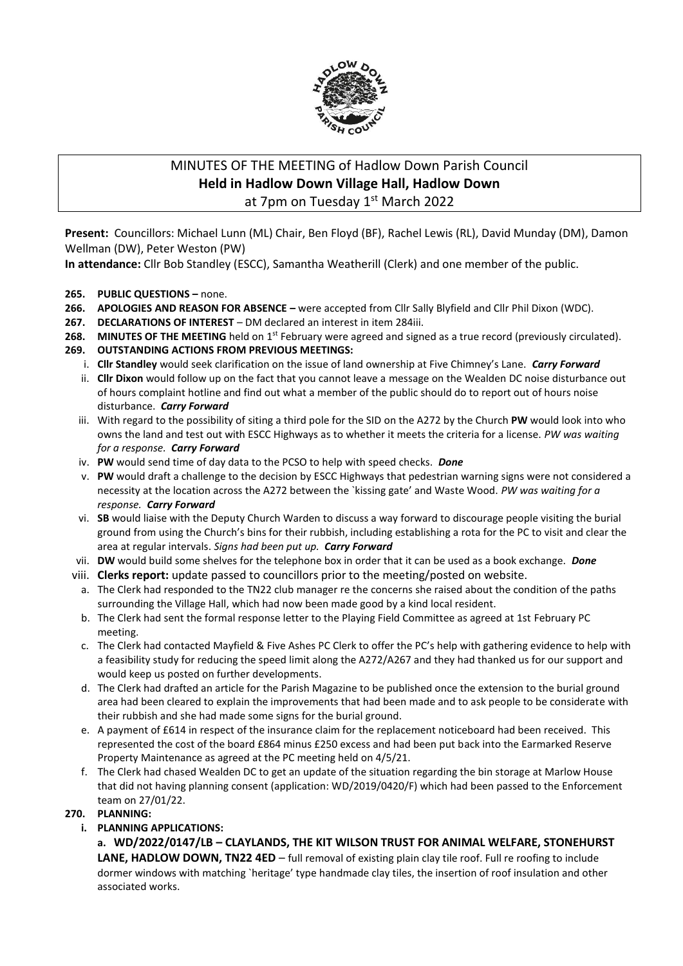

# MINUTES OF THE MEETING of Hadlow Down Parish Council **Held in Hadlow Down Village Hall, Hadlow Down** at 7pm on Tuesday 1<sup>st</sup> March 2022

**Present:** Councillors: Michael Lunn (ML) Chair, Ben Floyd (BF), Rachel Lewis (RL), David Munday (DM), Damon Wellman (DW), Peter Weston (PW)

**In attendance:** Cllr Bob Standley (ESCC), Samantha Weatherill (Clerk) and one member of the public.

## **265. PUBLIC QUESTIONS –** none.

- **266. APOLOGIES AND REASON FOR ABSENCE –** were accepted from Cllr Sally Blyfield and Cllr Phil Dixon (WDC).
- **267. DECLARATIONS OF INTEREST** DM declared an interest in item 284iii.
- **268.** MINUTES OF THE MEETING held on 1<sup>st</sup> February were agreed and signed as a true record (previously circulated).

## **269. OUTSTANDING ACTIONS FROM PREVIOUS MEETINGS:**

- i. **Cllr Standley** would seek clarification on the issue of land ownership at Five Chimney's Lane. *Carry Forward*
- ii. **Cllr Dixon** would follow up on the fact that you cannot leave a message on the Wealden DC noise disturbance out of hours complaint hotline and find out what a member of the public should do to report out of hours noise disturbance. *Carry Forward*
- iii. With regard to the possibility of siting a third pole for the SID on the A272 by the Church **PW** would look into who owns the land and test out with ESCC Highways as to whether it meets the criteria for a license. *PW was waiting for a response. Carry Forward*
- iv. **PW** would send time of day data to the PCSO to help with speed checks. *Done*
- v. **PW** would draft a challenge to the decision by ESCC Highways that pedestrian warning signs were not considered a necessity at the location across the A272 between the `kissing gate' and Waste Wood. *PW was waiting for a response. Carry Forward*
- vi. **SB** would liaise with the Deputy Church Warden to discuss a way forward to discourage people visiting the burial ground from using the Church's bins for their rubbish, including establishing a rota for the PC to visit and clear the area at regular intervals. *Signs had been put up. Carry Forward*
- vii. **DW** would build some shelves for the telephone box in order that it can be used as a book exchange. *Done*
- viii. **Clerks report:** update passed to councillors prior to the meeting/posted on website.
	- a. The Clerk had responded to the TN22 club manager re the concerns she raised about the condition of the paths surrounding the Village Hall, which had now been made good by a kind local resident.
	- b. The Clerk had sent the formal response letter to the Playing Field Committee as agreed at 1st February PC meeting.
	- c. The Clerk had contacted Mayfield & Five Ashes PC Clerk to offer the PC's help with gathering evidence to help with a feasibility study for reducing the speed limit along the A272/A267 and they had thanked us for our support and would keep us posted on further developments.
	- d. The Clerk had drafted an article for the Parish Magazine to be published once the extension to the burial ground area had been cleared to explain the improvements that had been made and to ask people to be considerate with their rubbish and she had made some signs for the burial ground.
	- e. A payment of £614 in respect of the insurance claim for the replacement noticeboard had been received. This represented the cost of the board £864 minus £250 excess and had been put back into the Earmarked Reserve Property Maintenance as agreed at the PC meeting held on 4/5/21.
	- f. The Clerk had chased Wealden DC to get an update of the situation regarding the bin storage at Marlow House that did not having planning consent (application: WD/2019/0420/F) which had been passed to the Enforcement team on 27/01/22.

## **270. PLANNING:**

**i. PLANNING APPLICATIONS:**

## **a. WD/2022/0147/LB – CLAYLANDS, THE KIT WILSON TRUST FOR ANIMAL WELFARE, STONEHURST**  LANE, HADLOW DOWN, TN22 4ED – full removal of existing plain clay tile roof. Full re roofing to include dormer windows with matching `heritage' type handmade clay tiles, the insertion of roof insulation and other associated works.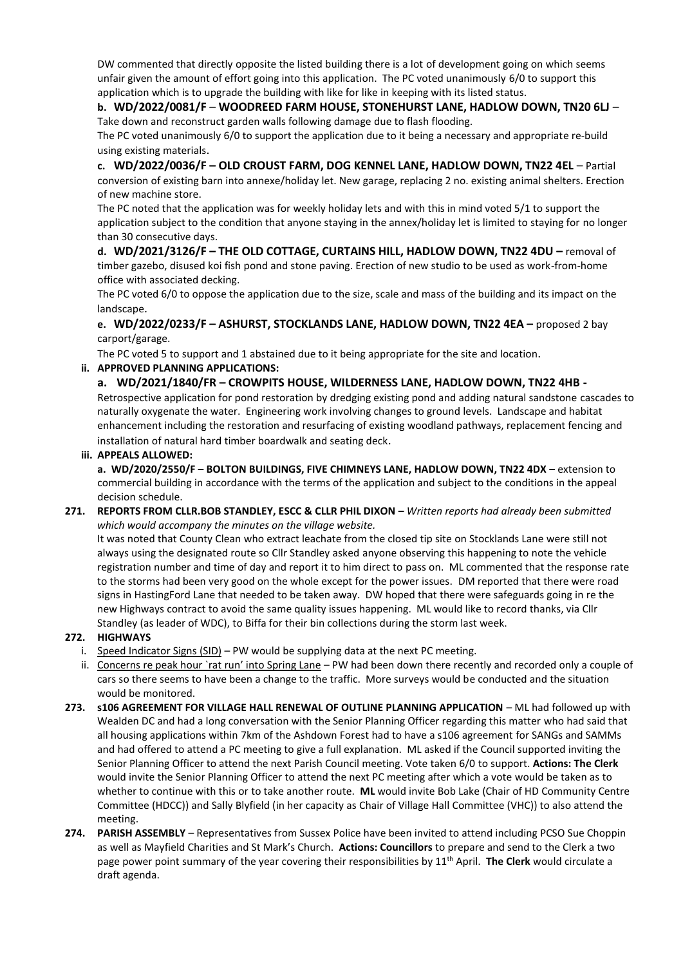DW commented that directly opposite the listed building there is a lot of development going on which seems unfair given the amount of effort going into this application. The PC voted unanimously 6/0 to support this application which is to upgrade the building with like for like in keeping with its listed status.

## **b. WD/2022/0081/F** – **WOODREED FARM HOUSE, STONEHURST LANE, HADLOW DOWN, TN20 6LJ** – Take down and reconstruct garden walls following damage due to flash flooding.

The PC voted unanimously 6/0 to support the application due to it being a necessary and appropriate re-build using existing materials.

**c. WD/2022/0036/F – OLD CROUST FARM, DOG KENNEL LANE, HADLOW DOWN, TN22 4EL** – Partial conversion of existing barn into annexe/holiday let. New garage, replacing 2 no. existing animal shelters. Erection of new machine store.

The PC noted that the application was for weekly holiday lets and with this in mind voted 5/1 to support the application subject to the condition that anyone staying in the annex/holiday let is limited to staying for no longer than 30 consecutive days.

**d. WD/2021/3126/F – THE OLD COTTAGE, CURTAINS HILL, HADLOW DOWN, TN22 4DU –** removal of timber gazebo, disused koi fish pond and stone paving. Erection of new studio to be used as work-from-home office with associated decking.

The PC voted 6/0 to oppose the application due to the size, scale and mass of the building and its impact on the landscape.

**e. WD/2022/0233/F – ASHURST, STOCKLANDS LANE, HADLOW DOWN, TN22 4EA –** proposed 2 bay carport/garage.

The PC voted 5 to support and 1 abstained due to it being appropriate for the site and location.

## **ii. APPROVED PLANNING APPLICATIONS:**

**a. WD/2021/1840/FR – CROWPITS HOUSE, WILDERNESS LANE, HADLOW DOWN, TN22 4HB -** Retrospective application for pond restoration by dredging existing pond and adding natural sandstone cascades to naturally oxygenate the water. Engineering work involving changes to ground levels. Landscape and habitat enhancement including the restoration and resurfacing of existing woodland pathways, replacement fencing and installation of natural hard timber boardwalk and seating deck.

#### **iii. APPEALS ALLOWED:**

**a. WD/2020/2550/F – BOLTON BUILDINGS, FIVE CHIMNEYS LANE, HADLOW DOWN, TN22 4DX –** extension to commercial building in accordance with the terms of the application and subject to the conditions in the appeal decision schedule.

**271. REPORTS FROM CLLR.BOB STANDLEY, ESCC & CLLR PHIL DIXON –** *Written reports had already been submitted which would accompany the minutes on the village website.*

It was noted that County Clean who extract leachate from the closed tip site on Stocklands Lane were still not always using the designated route so Cllr Standley asked anyone observing this happening to note the vehicle registration number and time of day and report it to him direct to pass on. ML commented that the response rate to the storms had been very good on the whole except for the power issues. DM reported that there were road signs in HastingFord Lane that needed to be taken away. DW hoped that there were safeguards going in re the new Highways contract to avoid the same quality issues happening. ML would like to record thanks, via Cllr Standley (as leader of WDC), to Biffa for their bin collections during the storm last week.

## **272. HIGHWAYS**

- i. Speed Indicator Signs  $(SID)$  PW would be supplying data at the next PC meeting.
- ii. Concerns re peak hour 'rat run' into Spring Lane PW had been down there recently and recorded only a couple of cars so there seems to have been a change to the traffic. More surveys would be conducted and the situation would be monitored.
- **273. s106 AGREEMENT FOR VILLAGE HALL RENEWAL OF OUTLINE PLANNING APPLICATION** ML had followed up with Wealden DC and had a long conversation with the Senior Planning Officer regarding this matter who had said that all housing applications within 7km of the Ashdown Forest had to have a s106 agreement for SANGs and SAMMs and had offered to attend a PC meeting to give a full explanation. ML asked if the Council supported inviting the Senior Planning Officer to attend the next Parish Council meeting. Vote taken 6/0 to support. **Actions: The Clerk** would invite the Senior Planning Officer to attend the next PC meeting after which a vote would be taken as to whether to continue with this or to take another route. **ML** would invite Bob Lake (Chair of HD Community Centre Committee (HDCC)) and Sally Blyfield (in her capacity as Chair of Village Hall Committee (VHC)) to also attend the meeting.
- **274. PARISH ASSEMBLY** Representatives from Sussex Police have been invited to attend including PCSO Sue Choppin as well as Mayfield Charities and St Mark's Church. **Actions: Councillors** to prepare and send to the Clerk a two page power point summary of the year covering their responsibilities by 11th April. **The Clerk** would circulate a draft agenda.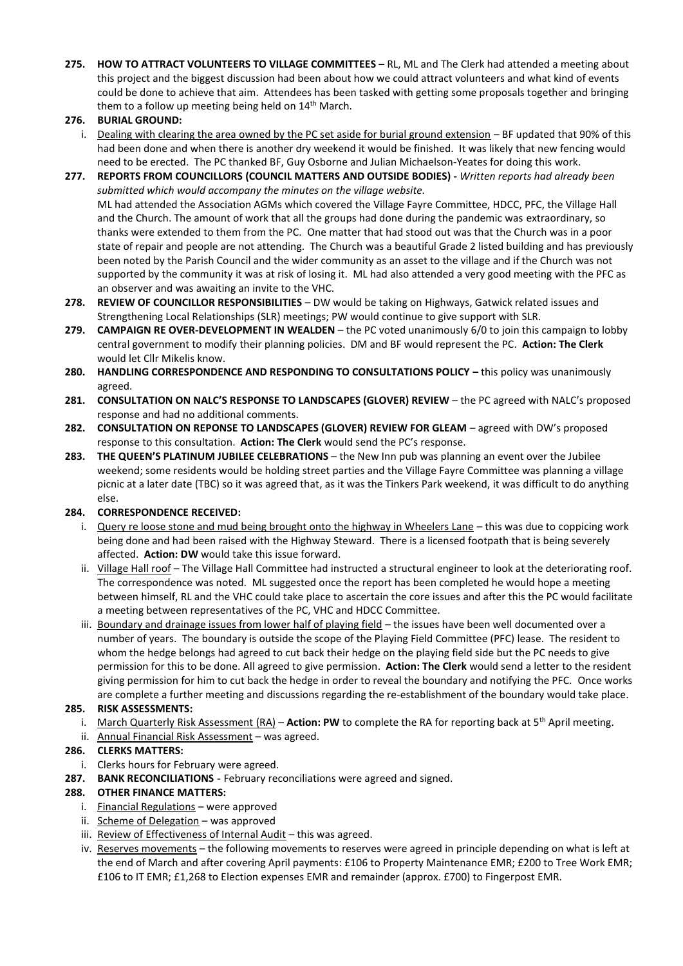- **275. HOW TO ATTRACT VOLUNTEERS TO VILLAGE COMMITTEES –** RL, ML and The Clerk had attended a meeting about this project and the biggest discussion had been about how we could attract volunteers and what kind of events could be done to achieve that aim. Attendees has been tasked with getting some proposals together and bringing them to a follow up meeting being held on 14<sup>th</sup> March.
- **276. BURIAL GROUND:**
	- i. Dealing with clearing the area owned by the PC set aside for burial ground extension BF updated that 90% of this had been done and when there is another dry weekend it would be finished. It was likely that new fencing would need to be erected. The PC thanked BF, Guy Osborne and Julian Michaelson-Yeates for doing this work.
- **277. REPORTS FROM COUNCILLORS (COUNCIL MATTERS AND OUTSIDE BODIES) -** *Written reports had already been submitted which would accompany the minutes on the village website.* ML had attended the Association AGMs which covered the Village Fayre Committee, HDCC, PFC, the Village Hall and the Church. The amount of work that all the groups had done during the pandemic was extraordinary, so thanks were extended to them from the PC. One matter that had stood out was that the Church was in a poor state of repair and people are not attending. The Church was a beautiful Grade 2 listed building and has previously been noted by the Parish Council and the wider community as an asset to the village and if the Church was not supported by the community it was at risk of losing it. ML had also attended a very good meeting with the PFC as an observer and was awaiting an invite to the VHC.
- **278. REVIEW OF COUNCILLOR RESPONSIBILITIES** DW would be taking on Highways, Gatwick related issues and Strengthening Local Relationships (SLR) meetings; PW would continue to give support with SLR.
- **279. CAMPAIGN RE OVER-DEVELOPMENT IN WEALDEN** the PC voted unanimously 6/0 to join this campaign to lobby central government to modify their planning policies. DM and BF would represent the PC. **Action: The Clerk** would let Cllr Mikelis know.
- 280. **HANDLING CORRESPONDENCE AND RESPONDING TO CONSULTATIONS POLICY this policy was unanimously** agreed.
- **281. CONSULTATION ON NALC'S RESPONSE TO LANDSCAPES (GLOVER) REVIEW** the PC agreed with NALC's proposed response and had no additional comments.
- **282. CONSULTATION ON REPONSE TO LANDSCAPES (GLOVER) REVIEW FOR GLEAM** agreed with DW's proposed response to this consultation. **Action: The Clerk** would send the PC's response.
- **283. THE QUEEN'S PLATINUM JUBILEE CELEBRATIONS** the New Inn pub was planning an event over the Jubilee weekend; some residents would be holding street parties and the Village Fayre Committee was planning a village picnic at a later date (TBC) so it was agreed that, as it was the Tinkers Park weekend, it was difficult to do anything else.

## **284. CORRESPONDENCE RECEIVED:**

- i. Query re loose stone and mud being brought onto the highway in Wheelers Lane this was due to coppicing work being done and had been raised with the Highway Steward. There is a licensed footpath that is being severely affected. **Action: DW** would take this issue forward.
- ii. Village Hall roof The Village Hall Committee had instructed a structural engineer to look at the deteriorating roof. The correspondence was noted. ML suggested once the report has been completed he would hope a meeting between himself, RL and the VHC could take place to ascertain the core issues and after this the PC would facilitate a meeting between representatives of the PC, VHC and HDCC Committee.
- iii. Boundary and drainage issues from lower half of playing field the issues have been well documented over a number of years. The boundary is outside the scope of the Playing Field Committee (PFC) lease. The resident to whom the hedge belongs had agreed to cut back their hedge on the playing field side but the PC needs to give permission for this to be done. All agreed to give permission. **Action: The Clerk** would send a letter to the resident giving permission for him to cut back the hedge in order to reveal the boundary and notifying the PFC. Once works are complete a further meeting and discussions regarding the re-establishment of the boundary would take place.

#### **285. RISK ASSESSMENTS:**

- i. March Quarterly Risk Assessment (RA) **Action: PW** to complete the RA for reporting back at 5<sup>th</sup> April meeting.
- ii. Annual Financial Risk Assessment was agreed.

#### **286. CLERKS MATTERS:**

- i. Clerks hours for February were agreed.
- **287. BANK RECONCILIATIONS -** February reconciliations were agreed and signed.

#### **288. OTHER FINANCE MATTERS:**

- i. Financial Regulations were approved
- ii. Scheme of Delegation was approved
- iii. Review of Effectiveness of Internal Audit this was agreed.
- iv. Reserves movements the following movements to reserves were agreed in principle depending on what is left at the end of March and after covering April payments: £106 to Property Maintenance EMR; £200 to Tree Work EMR; £106 to IT EMR; £1,268 to Election expenses EMR and remainder (approx. £700) to Fingerpost EMR.